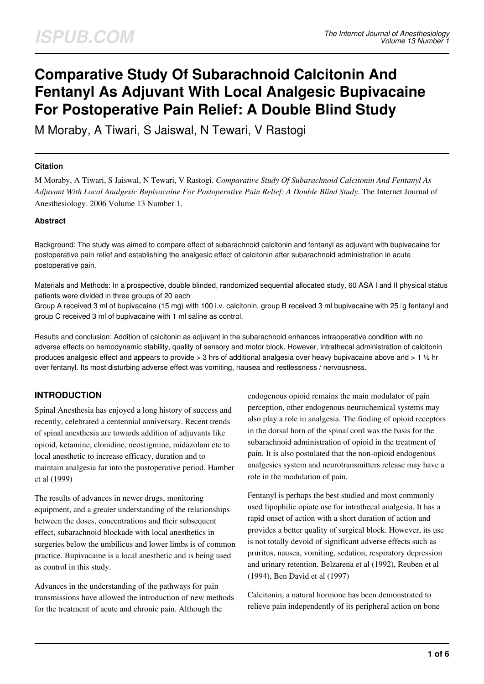# **Comparative Study Of Subarachnoid Calcitonin And Fentanyl As Adjuvant With Local Analgesic Bupivacaine For Postoperative Pain Relief: A Double Blind Study**

M Moraby, A Tiwari, S Jaiswal, N Tewari, V Rastogi

#### **Citation**

M Moraby, A Tiwari, S Jaiswal, N Tewari, V Rastogi. *Comparative Study Of Subarachnoid Calcitonin And Fentanyl As Adjuvant With Local Analgesic Bupivacaine For Postoperative Pain Relief: A Double Blind Study*. The Internet Journal of Anesthesiology. 2006 Volume 13 Number 1.

### **Abstract**

Background: The study was aimed to compare effect of subarachnoid calcitonin and fentanyl as adjuvant with bupivacaine for postoperative pain relief and establishing the analgesic effect of calcitonin after subarachnoid administration in acute postoperative pain.

Materials and Methods: In a prospective, double blinded, randomized sequential allocated study, 60 ASA I and II physical status patients were divided in three groups of 20 each

Group A received 3 ml of bupivacaine (15 mg) with 100 i.v. calcitonin, group B received 3 ml bupivacaine with 25 lg fentanyl and group C received 3 ml of bupivacaine with 1 ml saline as control.

Results and conclusion: Addition of calcitonin as adjuvant in the subarachnoid enhances intraoperative condition with no adverse effects on hemodynamic stability, quality of sensory and motor block. However, intrathecal administration of calcitonin produces analgesic effect and appears to provide > 3 hrs of additional analgesia over heavy bupivacaine above and > 1 ½ hr over fentanyl. Its most disturbing adverse effect was vomiting, nausea and restlessness / nervousness.

## **INTRODUCTION**

Spinal Anesthesia has enjoyed a long history of success and recently, celebrated a centennial anniversary. Recent trends of spinal anesthesia are towards addition of adjuvants like opioid, ketamine, clonidine, neostigmine, midazolam etc to local anesthetic to increase efficacy, duration and to maintain analgesia far into the postoperative period. Hamber et al (1999)

The results of advances in newer drugs, monitoring equipment, and a greater understanding of the relationships between the doses, concentrations and their subsequent effect, subarachnoid blockade with local anesthetics in surgeries below the umbilicus and lower limbs is of common practice. Bupivacaine is a local anesthetic and is being used as control in this study.

Advances in the understanding of the pathways for pain transmissions have allowed the introduction of new methods for the treatment of acute and chronic pain. Although the

endogenous opioid remains the main modulator of pain perception, other endogenous neurochemical systems may also play a role in analgesia. The finding of opioid receptors in the dorsal horn of the spinal cord was the basis for the subarachnoid administration of opioid in the treatment of pain. It is also postulated that the non-opioid endogenous analgesics system and neurotransmitters release may have a role in the modulation of pain.

Fentanyl is perhaps the best studied and most commonly used lipophilic opiate use for intrathecal analgesia. It has a rapid onset of action with a short duration of action and provides a better quality of surgical block. However, its use is not totally devoid of significant adverse effects such as pruritus, nausea, vomiting, sedation, respiratory depression and urinary retention. Belzarena et al (1992), Reuben et al (1994), Ben David et al (1997)

Calcitonin, a natural hormone has been demonstrated to relieve pain independently of its peripheral action on bone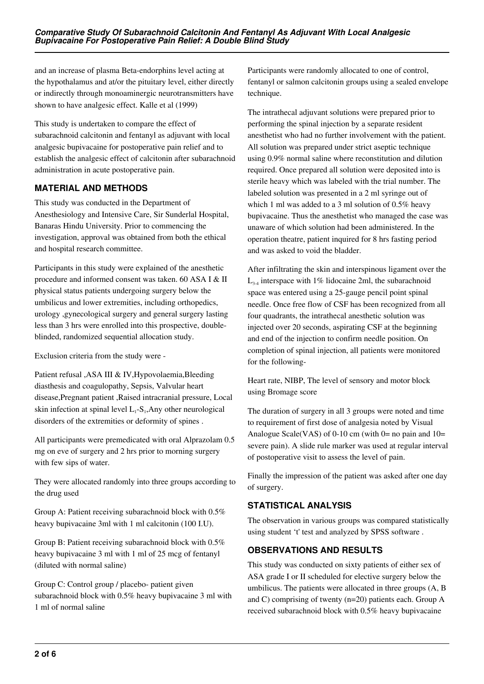and an increase of plasma Beta-endorphins level acting at the hypothalamus and at/or the pituitary level, either directly or indirectly through monoaminergic neurotransmitters have shown to have analgesic effect. Kalle et al (1999)

This study is undertaken to compare the effect of subarachnoid calcitonin and fentanyl as adjuvant with local analgesic bupivacaine for postoperative pain relief and to establish the analgesic effect of calcitonin after subarachnoid administration in acute postoperative pain.

## **MATERIAL AND METHODS**

This study was conducted in the Department of Anesthesiology and Intensive Care, Sir Sunderlal Hospital, Banaras Hindu University. Prior to commencing the investigation, approval was obtained from both the ethical and hospital research committee.

Participants in this study were explained of the anesthetic procedure and informed consent was taken. 60 ASA I & II physical status patients undergoing surgery below the umbilicus and lower extremities, including orthopedics, urology ,gynecological surgery and general surgery lasting less than 3 hrs were enrolled into this prospective, doubleblinded, randomized sequential allocation study.

Exclusion criteria from the study were -

Patient refusal ,ASA III & IV,Hypovolaemia,Bleeding diasthesis and coagulopathy, Sepsis, Valvular heart disease,Pregnant patient ,Raised intracranial pressure, Local skin infection at spinal level  $L_1$ -S<sub>1</sub>,Any other neurological disorders of the extremities or deformity of spines .

All participants were premedicated with oral Alprazolam 0.5 mg on eve of surgery and 2 hrs prior to morning surgery with few sips of water.

They were allocated randomly into three groups according to the drug used

Group A: Patient receiving subarachnoid block with 0.5% heavy bupivacaine 3ml with 1 ml calcitonin (100 I.U).

Group B: Patient receiving subarachnoid block with 0.5% heavy bupivacaine 3 ml with 1 ml of 25 mcg of fentanyl (diluted with normal saline)

Group C: Control group / placebo- patient given subarachnoid block with 0.5% heavy bupivacaine 3 ml with 1 ml of normal saline

Participants were randomly allocated to one of control, fentanyl or salmon calcitonin groups using a sealed envelope technique.

The intrathecal adjuvant solutions were prepared prior to performing the spinal injection by a separate resident anesthetist who had no further involvement with the patient. All solution was prepared under strict aseptic technique using 0.9% normal saline where reconstitution and dilution required. Once prepared all solution were deposited into is sterile heavy which was labeled with the trial number. The labeled solution was presented in a 2 ml syringe out of which 1 ml was added to a 3 ml solution of 0.5% heavy bupivacaine. Thus the anesthetist who managed the case was unaware of which solution had been administered. In the operation theatre, patient inquired for 8 hrs fasting period and was asked to void the bladder.

After infiltrating the skin and interspinous ligament over the  $L_{3.4}$  interspace with 1% lidocaine 2ml, the subarachnoid space was entered using a 25-gauge pencil point spinal needle. Once free flow of CSF has been recognized from all four quadrants, the intrathecal anesthetic solution was injected over 20 seconds, aspirating CSF at the beginning and end of the injection to confirm needle position. On completion of spinal injection, all patients were monitored for the following-

Heart rate, NIBP, The level of sensory and motor block using Bromage score

The duration of surgery in all 3 groups were noted and time to requirement of first dose of analgesia noted by Visual Analogue Scale(VAS) of 0-10 cm (with  $0=$  no pain and  $10=$ severe pain). A slide rule marker was used at regular interval of postoperative visit to assess the level of pain.

Finally the impression of the patient was asked after one day of surgery.

# **STATISTICAL ANALYSIS**

The observation in various groups was compared statistically using student 't' test and analyzed by SPSS software .

# **OBSERVATIONS AND RESULTS**

This study was conducted on sixty patients of either sex of ASA grade I or II scheduled for elective surgery below the umbilicus. The patients were allocated in three groups (A, B and C) comprising of twenty (n=20) patients each. Group A received subarachnoid block with 0.5% heavy bupivacaine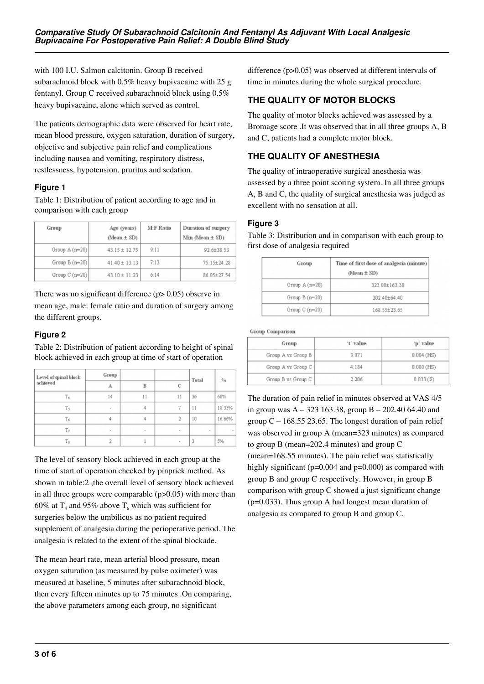with 100 I.U. Salmon calcitonin. Group B received subarachnoid block with 0.5% heavy bupivacaine with 25 g fentanyl. Group C received subarachnoid block using 0.5% heavy bupivacaine, alone which served as control.

The patients demographic data were observed for heart rate, mean blood pressure, oxygen saturation, duration of surgery, objective and subjective pain relief and complications including nausea and vomiting, respiratory distress, restlessness, hypotension, pruritus and sedation.

## **Figure 1**

Table 1: Distribution of patient according to age and in comparison with each group

| Group           | Age (years)<br>$(Mean \pm SD)$ | <b>M:F Ratio</b> | Duration of surgery<br>Min (Mean $\pm$ SD) |  |  |
|-----------------|--------------------------------|------------------|--------------------------------------------|--|--|
| Group $A(n=20)$ | $43.15 \pm 12.75$              | 9:11             | 92.6±38.53                                 |  |  |
| $Group B(n=20)$ | $41.40 \pm 13.13$              | 7:13             | 75.15±24.28                                |  |  |
| Group $C(n=20)$ | $43.10 \pm 11.23$              | 6:14             | 86.05±27.54                                |  |  |

There was no significant difference (p> 0.05) observe in mean age, male: female ratio and duration of surgery among the different groups.

## **Figure 2**

Table 2: Distribution of patient according to height of spinal block achieved in each group at time of start of operation

| Level of spinal block<br>achieved | Group  |              | C      | Total | $^{0/6}$ |
|-----------------------------------|--------|--------------|--------|-------|----------|
|                                   | A      | $\mathbf{B}$ |        |       |          |
| T.                                | 14     | 11           | 11     | 36    | 60%      |
| T <sub>5</sub>                    | $\sim$ | 4            | 7      | 11    | 18.33%   |
| Tε                                | 4      | 4            | 2      | 10    | 16.66%   |
| Тø                                |        |              |        |       |          |
| Тa                                |        |              | $\sim$ | 3     | 5%       |

The level of sensory block achieved in each group at the time of start of operation checked by pinprick method. As shown in table:2, the overall level of sensory block achieved in all three groups were comparable (p>0.05) with more than 60% at  $T_4$  and 95% above  $T_6$  which was sufficient for surgeries below the umbilicus as no patient required supplement of analgesia during the perioperative period. The analgesia is related to the extent of the spinal blockade.

The mean heart rate, mean arterial blood pressure, mean oxygen saturation (as measured by pulse oximeter) was measured at baseline, 5 minutes after subarachnoid block, then every fifteen minutes up to 75 minutes .On comparing, the above parameters among each group, no significant

difference (p>0.05) was observed at different intervals of time in minutes during the whole surgical procedure.

## **THE QUALITY OF MOTOR BLOCKS**

The quality of motor blocks achieved was assessed by a Bromage score .It was observed that in all three groups A, B and C, patients had a complete motor block.

# **THE QUALITY OF ANESTHESIA**

The quality of intraoperative surgical anesthesia was assessed by a three point scoring system. In all three groups A, B and C, the quality of surgical anesthesia was judged as excellent with no sensation at all.

## **Figure 3**

Table 3: Distribution and in comparison with each group to first dose of analgesia required

| Group           | Time of first dose of analgesia (minute)<br>$(Mean \pm SD)$ |  |  |
|-----------------|-------------------------------------------------------------|--|--|
| Group $A(n=20)$ | 323.00±163.38                                               |  |  |
| Group $B(n=20)$ | 202 40+64.40                                                |  |  |
| Group $C(n=20)$ | 168.55±23.65                                                |  |  |

#### Group Comparison

| Group              | 't' value | 'p' value    |  |  |
|--------------------|-----------|--------------|--|--|
| Group A vs Group B | 3.071     | $0.004$ (HS) |  |  |
| Group A vs Group C | 4.184     | $0.000$ (HS) |  |  |
| Group B vs Group C | 2.206     | 0.033(S)     |  |  |

The duration of pain relief in minutes observed at VAS 4/5 in group was  $A - 323$  163.38, group  $B - 202.40$  64.40 and group  $C - 168.55$  23.65. The longest duration of pain relief was observed in group A (mean=323 minutes) as compared to group B (mean=202.4 minutes) and group C (mean=168.55 minutes). The pain relief was statistically highly significant ( $p=0.004$  and  $p=0.000$ ) as compared with group B and group C respectively. However, in group B comparison with group C showed a just significant change (p=0.033). Thus group A had longest mean duration of analgesia as compared to group B and group C.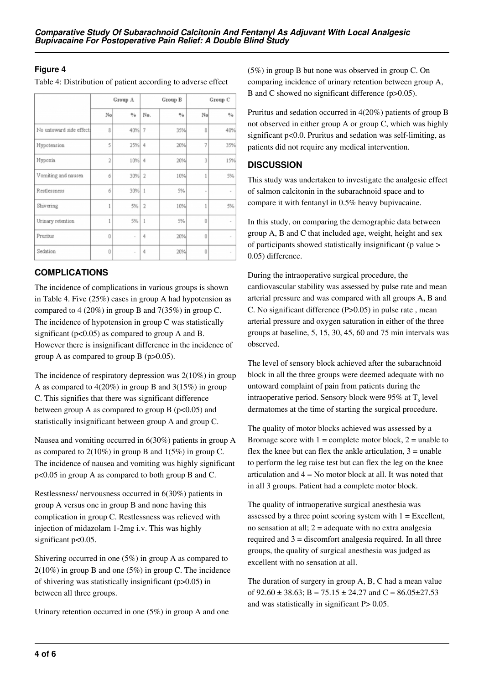## **Figure 4**

Table 4: Distribution of patient according to adverse effect

|                          | Group A        |          | Group B        |                       | Group C |                          |
|--------------------------|----------------|----------|----------------|-----------------------|---------|--------------------------|
|                          | No             | $^{0/6}$ | No.            | $\mathbf{0}_{\alpha}$ | No      | %                        |
| No untoward side effect! | 8              | 40% 7    |                | 35%                   | 8       | 40%                      |
| Hypotension              | 5              | 25% 4    |                | 20%                   | 7       | 35%                      |
| Hypoxia                  | $\overline{2}$ | 10% 4    |                | 20%                   | 3       | 15%                      |
| Vomiting and nausea      | 6              | 30% 2    |                | 10%                   | 1       | 5%                       |
| Restlessness             | 6              | 30% 1    |                | 5%                    |         | ۰                        |
| Shivering                | 1              | 5%       | $\overline{2}$ | 10%                   |         | 5%                       |
| Urinary retention        | 1              | 5%       | 1              | 5%                    | 0       | $\overline{a}$           |
| Pruritus                 | n              |          | 4              | 20%                   | n       |                          |
| Sedation                 | Ü              |          | 4              | 20%                   | Ü       | $\overline{\phantom{a}}$ |

# **COMPLICATIONS**

The incidence of complications in various groups is shown in Table 4. Five (25%) cases in group A had hypotension as compared to 4 (20%) in group B and 7(35%) in group C. The incidence of hypotension in group C was statistically significant ( $p<0.05$ ) as compared to group A and B. However there is insignificant difference in the incidence of group A as compared to group B (p>0.05).

The incidence of respiratory depression was 2(10%) in group A as compared to 4(20%) in group B and 3(15%) in group C. This signifies that there was significant difference between group A as compared to group B  $(p<0.05)$  and statistically insignificant between group A and group C.

Nausea and vomiting occurred in 6(30%) patients in group A as compared to  $2(10\%)$  in group B and  $1(5\%)$  in group C. The incidence of nausea and vomiting was highly significant p<0.05 in group A as compared to both group B and C.

Restlessness/ nervousness occurred in 6(30%) patients in group A versus one in group B and none having this complication in group C. Restlessness was relieved with injection of midazolam 1-2mg i.v. This was highly significant p<0.05.

Shivering occurred in one (5%) in group A as compared to  $2(10\%)$  in group B and one (5%) in group C. The incidence of shivering was statistically insignificant (p>0.05) in between all three groups.

Urinary retention occurred in one (5%) in group A and one

(5%) in group B but none was observed in group C. On comparing incidence of urinary retention between group A, B and C showed no significant difference (p>0.05).

Pruritus and sedation occurred in 4(20%) patients of group B not observed in either group A or group C, which was highly significant p<0.0. Pruritus and sedation was self-limiting, as patients did not require any medical intervention.

## **DISCUSSION**

This study was undertaken to investigate the analgesic effect of salmon calcitonin in the subarachnoid space and to compare it with fentanyl in 0.5% heavy bupivacaine.

In this study, on comparing the demographic data between group A, B and C that included age, weight, height and sex of participants showed statistically insignificant (p value > 0.05) difference.

During the intraoperative surgical procedure, the cardiovascular stability was assessed by pulse rate and mean arterial pressure and was compared with all groups A, B and C. No significant difference (P>0.05) in pulse rate , mean arterial pressure and oxygen saturation in either of the three groups at baseline, 5, 15, 30, 45, 60 and 75 min intervals was observed.

The level of sensory block achieved after the subarachnoid block in all the three groups were deemed adequate with no untoward complaint of pain from patients during the intraoperative period. Sensory block were 95% at  $T_6$  level dermatomes at the time of starting the surgical procedure.

The quality of motor blocks achieved was assessed by a Bromage score with  $1 =$  complete motor block,  $2 =$  unable to flex the knee but can flex the ankle articulation,  $3 =$  unable to perform the leg raise test but can flex the leg on the knee articulation and  $4 = No$  motor block at all. It was noted that in all 3 groups. Patient had a complete motor block.

The quality of intraoperative surgical anesthesia was assessed by a three point scoring system with  $1 =$  Excellent, no sensation at all;  $2 =$  adequate with no extra analgesia required and 3 = discomfort analgesia required. In all three groups, the quality of surgical anesthesia was judged as excellent with no sensation at all.

The duration of surgery in group A, B, C had a mean value of 92.60  $\pm$  38.63; B = 75.15  $\pm$  24.27 and C = 86.05 $\pm$ 27.53 and was statistically in significant P> 0.05.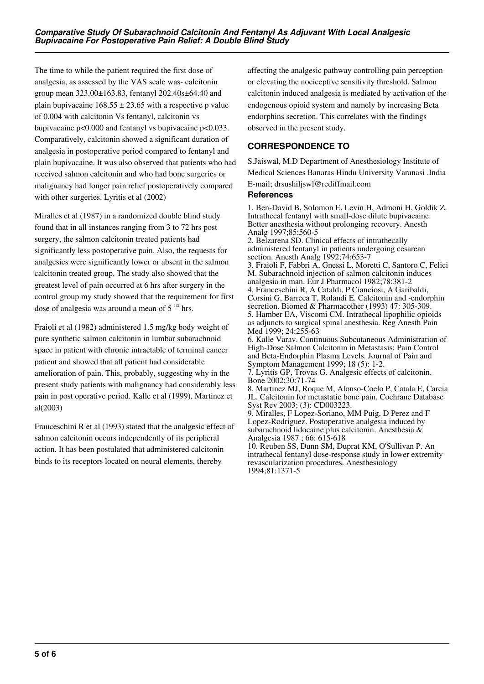The time to while the patient required the first dose of analgesia, as assessed by the VAS scale was- calcitonin group mean 323.00±163.83, fentanyl 202.40s±64.40 and plain bupivacaine  $168.55 \pm 23.65$  with a respective p value of 0.004 with calcitonin Vs fentanyl, calcitonin vs bupivacaine p<0.000 and fentanyl vs bupivacaine p<0.033. Comparatively, calcitonin showed a significant duration of analgesia in postoperative period compared to fentanyl and plain bupivacaine. It was also observed that patients who had received salmon calcitonin and who had bone surgeries or malignancy had longer pain relief postoperatively compared with other surgeries. Lyritis et al (2002)

Miralles et al (1987) in a randomized double blind study found that in all instances ranging from 3 to 72 hrs post surgery, the salmon calcitonin treated patients had significantly less postoperative pain. Also, the requests for analgesics were significantly lower or absent in the salmon calcitonin treated group. The study also showed that the greatest level of pain occurred at 6 hrs after surgery in the control group my study showed that the requirement for first dose of analgesia was around a mean of  $5<sup>1/2</sup>$  hrs.

Fraioli et al (1982) administered 1.5 mg/kg body weight of pure synthetic salmon calcitonin in lumbar subarachnoid space in patient with chronic intractable of terminal cancer patient and showed that all patient had considerable amelioration of pain. This, probably, suggesting why in the present study patients with malignancy had considerably less pain in post operative period. Kalle et al (1999), Martinez et al(2003)

Frauceschini R et al (1993) stated that the analgesic effect of salmon calcitonin occurs independently of its peripheral action. It has been postulated that administered calcitonin binds to its receptors located on neural elements, thereby

affecting the analgesic pathway controlling pain perception or elevating the nociceptive sensitivity threshold. Salmon calcitonin induced analgesia is mediated by activation of the endogenous opioid system and namely by increasing Beta endorphins secretion. This correlates with the findings observed in the present study.

# **CORRESPONDENCE TO**

S.Jaiswal, M.D Department of Anesthesiology Institute of Medical Sciences Banaras Hindu University Varanasi .India E-mail; drsushiljswl@rediffmail.com

## **References**

1. Ben-David B, Solomon E, Levin H, Admoni H, Goldik Z. Intrathecal fentanyl with small-dose dilute bupivacaine: Better anesthesia without prolonging recovery. Anesth Analg 1997;85:560-5

2. Belzarena SD. Clinical effects of intrathecally administered fentanyl in patients undergoing cesarean section. Anesth Analg 1992;74:653-7

3. Fraioli F, Fabbri A, Gnessi L, Moretti C, Santoro C, Felici M. Subarachnoid injection of salmon calcitonin induces analgesia in man. Eur J Pharmacol 1982;78:381-2 4. Franceschini R, A Cataldi, P Cianciosi, A Garibaldi, Corsini G, Barreca T, Rolandi E. Calcitonin and -endorphin secretion. Biomed & Pharmacother (1993) 47: 305-309. 5. Hamber EA, Viscomi CM. Intrathecal lipophilic opioids as adjuncts to surgical spinal anesthesia. Reg Anesth Pain Med 1999; 24:255-63

6. Kalle Varav. Continuous Subcutaneous Administration of High-Dose Salmon Calcitonin in Metastasis: Pain Control and Beta-Endorphin Plasma Levels. Journal of Pain and Symptom Management 1999; 18 (5): 1-2.

7. Lyritis GP, Trovas G. Analgesic effects of calcitonin. Bone 2002;30:71-74

8. Martinez MJ, Roque M, Alonso-Coelo P, Catala E, Carcia JL. Calcitonin for metastatic bone pain. Cochrane Database Syst Rev 2003; (3): CD003223.

9. Miralles, F Lopez-Soriano, MM Puig, D Perez and F Lopez-Rodriguez. Postoperative analgesia induced by subarachnoid lidocaine plus calcitonin. Anesthesia & Analgesia 1987 ; 66: 615-618

10. Reuben SS, Dunn SM, Duprat KM, O'Sullivan P. An intrathecal fentanyl dose-response study in lower extremity revascularization procedures. Anesthesiology 1994;81:1371-5